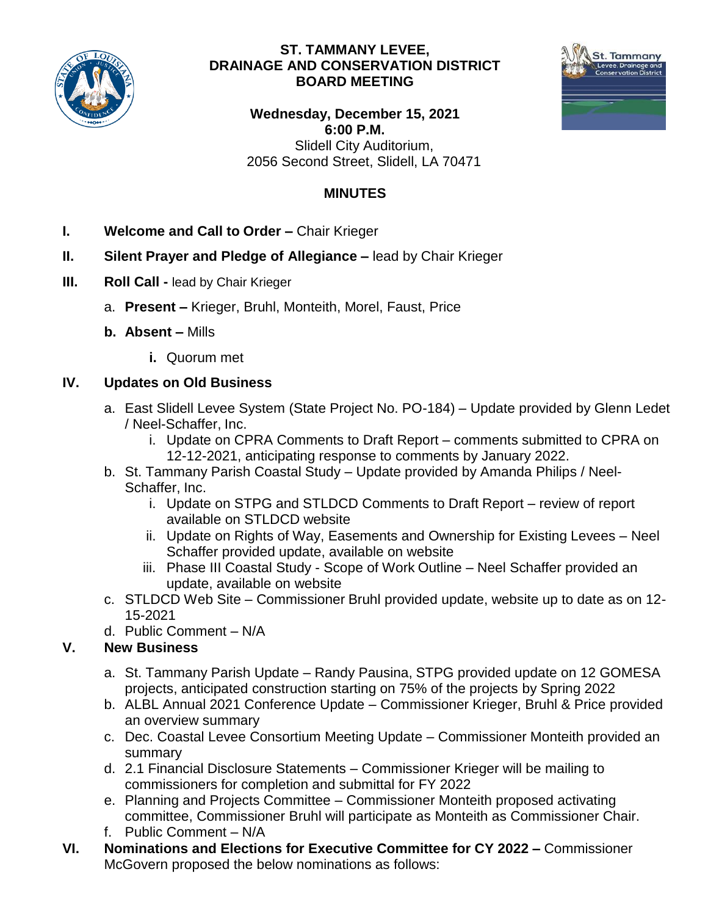

#### **ST. TAMMANY LEVEE, DRAINAGE AND CONSERVATION DISTRICT BOARD MEETING**



**Wednesday, December 15, 2021 6:00 P.M.** Slidell City Auditorium, 2056 Second Street, Slidell, LA 70471

# **MINUTES**

- **I. Welcome and Call to Order –** Chair Krieger
- **II. Silent Prayer and Pledge of Allegiance –** lead by Chair Krieger
- **III. Roll Call -** lead by Chair Krieger
	- a. **Present –** Krieger, Bruhl, Monteith, Morel, Faust, Price
	- **b. Absent –** Mills
		- **i.** Quorum met

### **IV. Updates on Old Business**

- a. East Slidell Levee System (State Project No. PO-184) Update provided by Glenn Ledet / Neel-Schaffer, Inc.
	- i. Update on CPRA Comments to Draft Report comments submitted to CPRA on 12-12-2021, anticipating response to comments by January 2022.
- b. St. Tammany Parish Coastal Study Update provided by Amanda Philips / Neel-Schaffer, Inc.
	- i. Update on STPG and STLDCD Comments to Draft Report review of report available on STLDCD website
	- ii. Update on Rights of Way, Easements and Ownership for Existing Levees Neel Schaffer provided update, available on website
	- iii. Phase III Coastal Study Scope of Work Outline Neel Schaffer provided an update, available on website
- c. STLDCD Web Site Commissioner Bruhl provided update, website up to date as on 12- 15-2021
- d. Public Comment N/A

# **V. New Business**

- a. St. Tammany Parish Update Randy Pausina, STPG provided update on 12 GOMESA projects, anticipated construction starting on 75% of the projects by Spring 2022
- b. ALBL Annual 2021 Conference Update Commissioner Krieger, Bruhl & Price provided an overview summary
- c. Dec. Coastal Levee Consortium Meeting Update Commissioner Monteith provided an summary
- d. 2.1 Financial Disclosure Statements Commissioner Krieger will be mailing to commissioners for completion and submittal for FY 2022
- e. Planning and Projects Committee Commissioner Monteith proposed activating committee, Commissioner Bruhl will participate as Monteith as Commissioner Chair.
- f. Public Comment N/A
- **VI. Nominations and Elections for Executive Committee for CY 2022 –** Commissioner McGovern proposed the below nominations as follows: